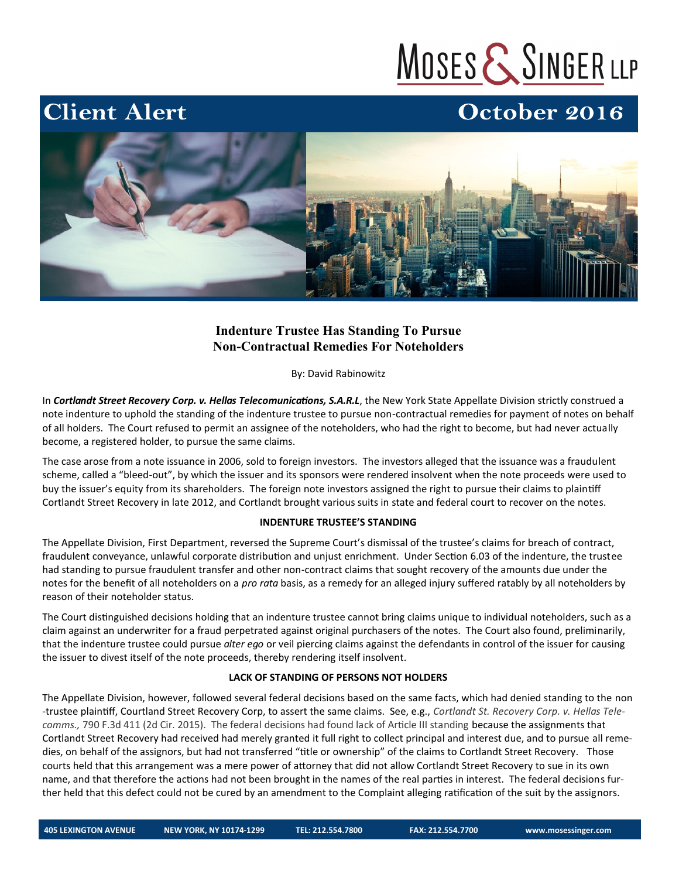# MOSES & SINGER LLP

### October 2016



#### **Indenture Trustee Has Standing To Pursue Non-Contractual Remedies For Noteholders**

By: David Rabinowitz

In *Cortlandt Street Recovery Corp. v. Hellas Telecomunications, S.A.R.L*, the New York State Appellate Division strictly construed a note indenture to uphold the standing of the indenture trustee to pursue non-contractual remedies for payment of notes on behalf of all holders. The Court refused to permit an assignee of the noteholders, who had the right to become, but had never actually become, a registered holder, to pursue the same claims.

The case arose from a note issuance in 2006, sold to foreign investors. The investors alleged that the issuance was a fraudulent scheme, called a "bleed-out", by which the issuer and its sponsors were rendered insolvent when the note proceeds were used to buy the issuer's equity from its shareholders. The foreign note investors assigned the right to pursue their claims to plaintiff Cortlandt Street Recovery in late 2012, and Cortlandt brought various suits in state and federal court to recover on the notes.

#### **INDENTURE TRUSTEE'S STANDING**

The Appellate Division, First Department, reversed the Supreme Court's dismissal of the trustee's claims for breach of contract, fraudulent conveyance, unlawful corporate distribution and unjust enrichment. Under Section 6.03 of the indenture, the trustee had standing to pursue fraudulent transfer and other non-contract claims that sought recovery of the amounts due under the notes for the benefit of all noteholders on a *pro rata* basis, as a remedy for an alleged injury suffered ratably by all noteholders by reason of their noteholder status.

The Court distinguished decisions holding that an indenture trustee cannot bring claims unique to individual noteholders, such as a claim against an underwriter for a fraud perpetrated against original purchasers of the notes. The Court also found, preliminarily, that the indenture trustee could pursue *alter ego* or veil piercing claims against the defendants in control of the issuer for causing the issuer to divest itself of the note proceeds, thereby rendering itself insolvent.

#### **LACK OF STANDING OF PERSONS NOT HOLDERS**

The Appellate Division, however, followed several federal decisions based on the same facts, which had denied standing to the non -trustee plaintiff, Courtland Street Recovery Corp, to assert the same claims. See, e.g., *Cortlandt St. Recovery Corp. v. Hellas Telecomms.,* 790 F.3d 411 (2d Cir. 2015). The federal decisions had found lack of Article III standing because the assignments that Cortlandt Street Recovery had received had merely granted it full right to collect principal and interest due, and to pursue all remedies, on behalf of the assignors, but had not transferred "title or ownership" of the claims to Cortlandt Street Recovery. Those courts held that this arrangement was a mere power of attorney that did not allow Cortlandt Street Recovery to sue in its own name, and that therefore the actions had not been brought in the names of the real parties in interest. The federal decisions further held that this defect could not be cured by an amendment to the Complaint alleging ratification of the suit by the assignors.

**Client Alert**